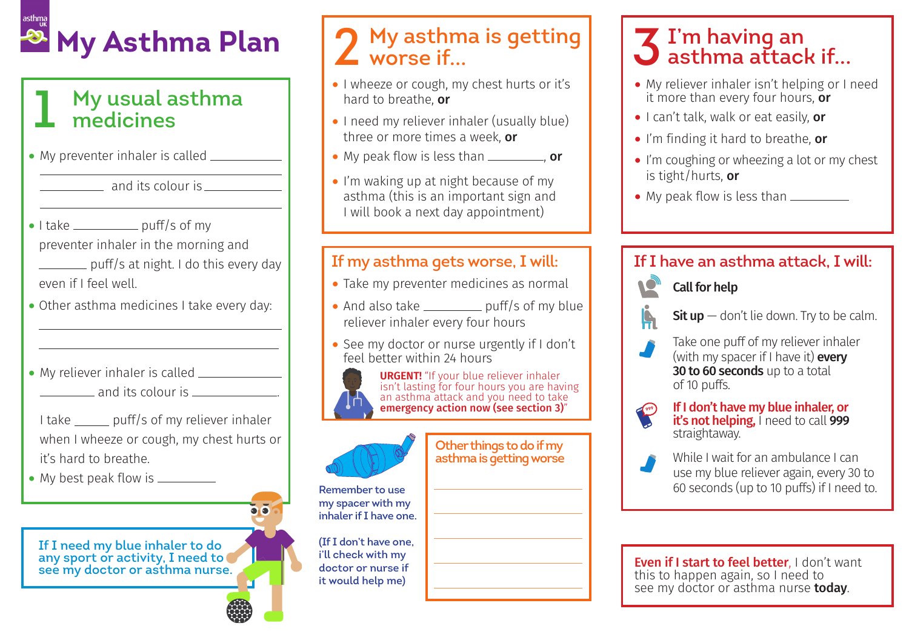# **2 My Asthma Plan**

# **1 My usual asthma medicines**

- My preventer inhaler is called
	- **My asthma medicines** and its colour is <u>equal</u>
- $\bullet$  I take  $\_\_\_\_\_\_\_$  puff/s of my preventer inhaler in the morning and **Example 3** puff/s at night. I do this every day even if I feel well.
- Other asthma medicines I take every day:
- My reliever inhaIer is called \_\_\_\_\_\_\_\_\_\_\_\_ and its colour is ...
- I take puff/s of my reliever inhaler when I wheeze or cough, my chest hurts or it's hard to breathe.
- My best peak flow is \_\_\_\_\_\_\_\_\_

**If I need my blue inhaler to do any sport or activity, I need to see my doctor or asthma nurse.**

# **2 My asthma is getting worse if...**

- I wheeze or cough, my chest hurts or it's hard to breathe, or
- I need my reliever inhaler (usually blue) three or more times a week, or
- My peak flow is less than  $\frac{1}{\sqrt{2\pi}}$ , or
- I'm waking up at night because of my asthma (this is an important sign and I will book a next day appointment)

#### **If my asthma gets worse, I will:**

- Take my preventer medicines as normal
- And also take  $\rule{1em}{0.15mm}$  puff/s of my blue reliever inhaler every four hours
- See my doctor or nurse urgently if I don't feel better within 24 hours

an asthma attack and you need to take emergency action now (see section 3)"

> **Other things to do if my asthma is getting worse**

**URGENT!** "If your blue reliever inhaler isn't lasting for four hours you are having

 $\bullet$ 

**Remember to use my spacer with my inhaler if I have one.** 

**(If I don't have one, i'll check with my doctor or nurse if it would help me)**

## **3 I'm having an asthma attack if...**

- My reliever inhaler isn't helping or I need it more than every four hours,  $\overline{or}$
- I can't talk, walk or eat easily, or
- I'm finding it hard to breathe, or
- I'm coughing or wheezing a lot or my chest is tight/hurts, or
- My peak flow is less than  $\frac{1}{\sqrt{1-\frac{1}{\sqrt{1-\frac{1}{\sqrt{1-\frac{1}{\sqrt{1-\frac{1}{\sqrt{1-\frac{1}{\sqrt{1-\frac{1}{\sqrt{1-\frac{1}{\sqrt{1-\frac{1}{\sqrt{1-\frac{1}{\sqrt{1-\frac{1}{\sqrt{1-\frac{1}{\sqrt{1-\frac{1}{\sqrt{1-\frac{1}{\sqrt{1-\frac{1}{\sqrt{1-\frac{1}{\sqrt{1-\frac{1}{\sqrt{1-\frac{1}{\sqrt{1-\frac{1}{\sqrt{1-\frac{1}{\sqrt{1-\frac{1}{\sqrt{1-\frac{1$

### **If I have an asthma attack, I will:**



 $\textsf{Sit}$  up  $-$  don't lie down. Try to be calm.

- Take one puff of my reliever inhaler
- (with my spacer if I have it) **every** 30 to 60 seconds up to a total of 10 puffs.
- **999**
- If I don't have my blue inhaler, or<br>it's not helping, I need to call 999<br>straightaway.
- While I wait for an ambulance I can use my blue reliever again, every 30 to 60 seconds (up to 10 puffs) if I need to.

**Even if I start to feel better.** I don't want this to happen again, so I need to see my doctor or asthma nurse **today**.